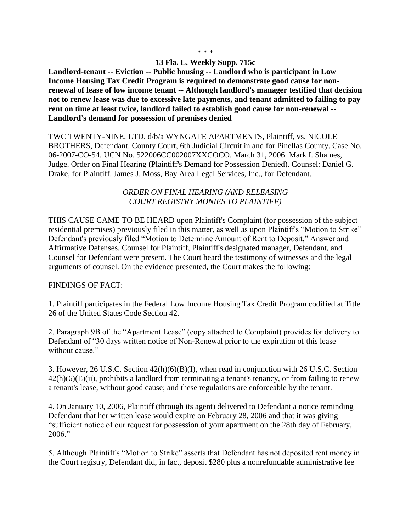## **13 Fla. L. Weekly Supp. 715c**

**Landlord-tenant -- Eviction -- Public housing -- Landlord who is participant in Low Income Housing Tax Credit Program is required to demonstrate good cause for nonrenewal of lease of low income tenant -- Although landlord's manager testified that decision not to renew lease was due to excessive late payments, and tenant admitted to failing to pay rent on time at least twice, landlord failed to establish good cause for non-renewal -- Landlord's demand for possession of premises denied**

TWC TWENTY-NINE, LTD. d/b/a WYNGATE APARTMENTS, Plaintiff, vs. NICOLE BROTHERS, Defendant. County Court, 6th Judicial Circuit in and for Pinellas County. Case No. 06-2007-CO-54. UCN No. 522006CC002007XXCOCO. March 31, 2006. Mark I. Shames, Judge. Order on Final Hearing (Plaintiff's Demand for Possession Denied). Counsel: Daniel G. Drake, for Plaintiff. James J. Moss, Bay Area Legal Services, Inc., for Defendant.

## *ORDER ON FINAL HEARING (AND RELEASING COURT REGISTRY MONIES TO PLAINTIFF)*

THIS CAUSE CAME TO BE HEARD upon Plaintiff's Complaint (for possession of the subject residential premises) previously filed in this matter, as well as upon Plaintiff's "Motion to Strike" Defendant's previously filed "Motion to Determine Amount of Rent to Deposit," Answer and Affirmative Defenses. Counsel for Plaintiff, Plaintiff's designated manager, Defendant, and Counsel for Defendant were present. The Court heard the testimony of witnesses and the legal arguments of counsel. On the evidence presented, the Court makes the following:

## FINDINGS OF FACT:

1. Plaintiff participates in the Federal Low Income Housing Tax Credit Program codified at Title 26 of the United States Code Section 42.

2. Paragraph 9B of the "Apartment Lease" (copy attached to Complaint) provides for delivery to Defendant of "30 days written notice of Non-Renewal prior to the expiration of this lease without cause."

3. However, 26 U.S.C. Section 42(h)(6)(B)(I), when read in conjunction with 26 U.S.C. Section  $42(h)(6)(E)(ii)$ , prohibits a landlord from terminating a tenant's tenancy, or from failing to renew a tenant's lease, without good cause; and these regulations are enforceable by the tenant.

4. On January 10, 2006, Plaintiff (through its agent) delivered to Defendant a notice reminding Defendant that her written lease would expire on February 28, 2006 and that it was giving "sufficient notice of our request for possession of your apartment on the 28th day of February, 2006."

5. Although Plaintiff's "Motion to Strike" asserts that Defendant has not deposited rent money in the Court registry, Defendant did, in fact, deposit \$280 plus a nonrefundable administrative fee